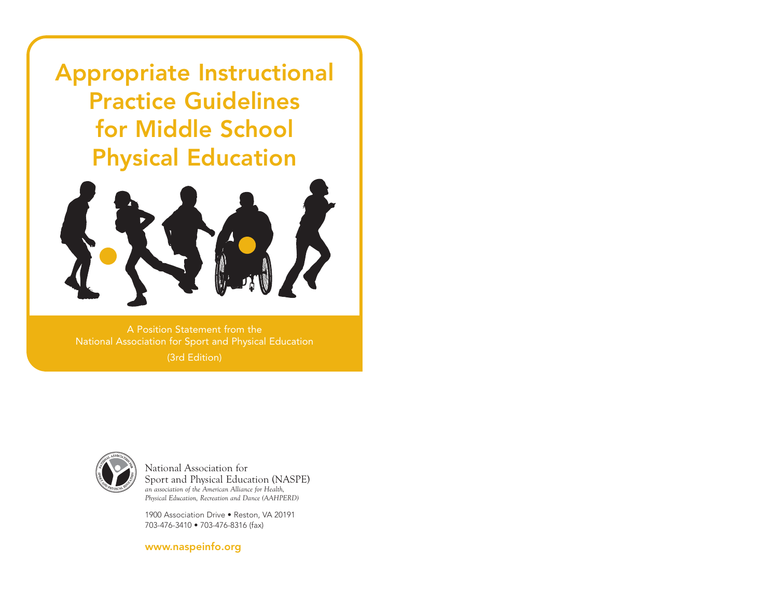Appropriate Instructional Practice Guidelines for Middle School Physical Education



A Position Statement from the National Association for Sport and Physical Education (3rd Edition)



National Association for Sport and Physical Education (NASPE) *an association of the American Alliance for Health, Physical Education, Recreation and Dance (AAHPERD)* 

1900 Association Drive • Reston, VA 20191 703-476-3410 • 703-476-8316 (fax)

www.naspeinfo.org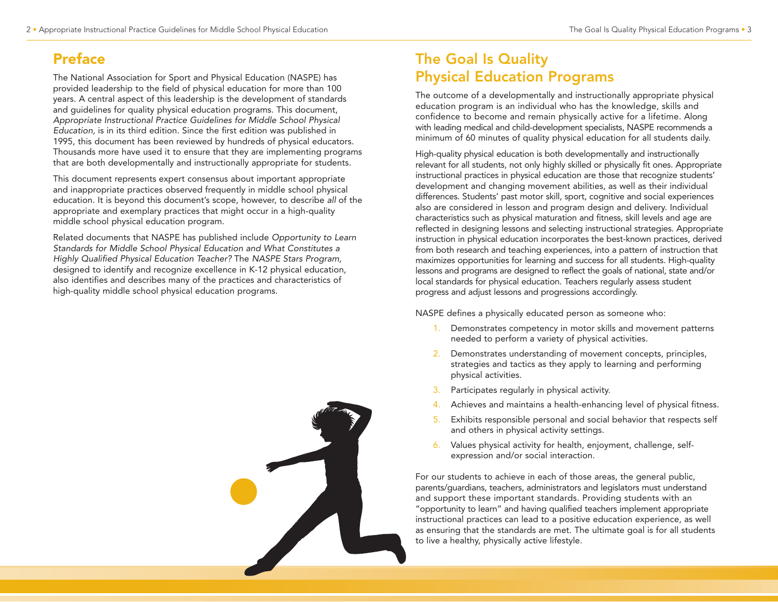## Preface

The National Association for Sport and Physical Education (NASPE) has provided leadership to the field of physical education for more than 100 years. A central aspect of this leadership is the development of standards and guidelines for quality physical education programs. This document, Appropriate Instructional Practice Guidelines for Middle School Physical Education, is in its third edition. Since the first edition was published in 1995, this document has been reviewed by hundreds of physical educators. Thousands more have used it to ensure that they are implementing programs that are both developmentally and instructionally appropriate for students.

This document represents expert consensus about important appropriate and inappropriate practices observed frequently in middle school physical education. It is beyond this document's scope, however, to describe all of the appropriate and exemplary practices that might occur in a high-quality middle school physical education program.

Related documents that NASPE has published include Opportunity to Learn Standards for Middle School Physical Education and What Constitutes a Highly Qualified Physical Education Teacher? The NASPE Stars Program, designed to identify and recognize excellence in K-12 physical education, also identifies and describes many of the practices and characteristics of high-quality middle school physical education programs.



# The Goal Is Quality Physical Education Programs

The outcome of a developmentally and instructionally appropriate physical education program is an individual who has the knowledge, skills and confidence to become and remain physically active for a lifetime. Along with leading medical and child-development specialists, NASPE recommends a minimum of 60 minutes of quality physical education for all students daily.

High-quality physical education is both developmentally and instructionally relevant for all students, not only highly skilled or physically fit ones. Appropriate instructional practices in physical education are those that recognize students' development and changing movement abilities, as well as their individual differences. Students' past motor skill, sport, cognitive and social experiences also are considered in lesson and program design and delivery. Individual characteristics such as physical maturation and fitness, skill levels and age are reflected in designing lessons and selecting instructional strategies. Appropriate instruction in physical education incorporates the best-known practices, derived from both research and teaching experiences, into a pattern of instruction that maximizes opportunities for learning and success for all students. High-quality lessons and programs are designed to reflect the goals of national, state and/or local standards for physical education. Teachers regularly assess student progress and adjust lessons and progressions accordingly.

NASPE defines a physically educated person as someone who:

- 1. Demonstrates competency in motor skills and movement patterns needed to perform a variety of physical activities.
- 2. Demonstrates understanding of movement concepts, principles, strategies and tactics as they apply to learning and performing physical activities.
- 3. Participates regularly in physical activity.
- Achieves and maintains a health-enhancing level of physical fitness.
- 5. Exhibits responsible personal and social behavior that respects self and others in physical activity settings.
- 6. Values physical activity for health, enjoyment, challenge, selfexpression and/or social interaction.

For our students to achieve in each of those areas, the general public, parents/guardians, teachers, administrators and legislators must understand and support these important standards. Providing students with an "opportunity to learn" and having qualified teachers implement appropriate instructional practices can lead to a positive education experience, as well as ensuring that the standards are met. The ultimate goal is for all students to live a healthy, physically active lifestyle.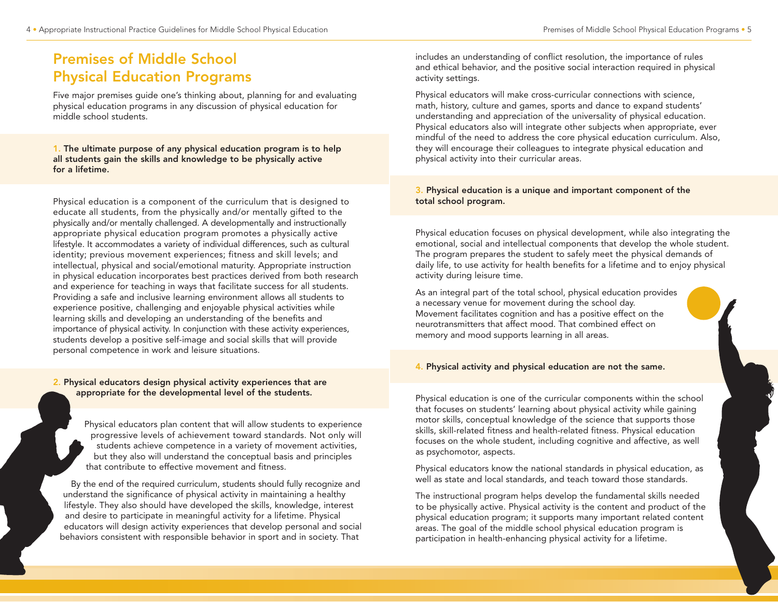## Premises of Middle School Physical Education Programs

Five major premises guide one's thinking about, planning for and evaluating physical education programs in any discussion of physical education for middle school students.

1. The ultimate purpose of any physical education program is to help all students gain the skills and knowledge to be physically active for a lifetime.

Physical education is a component of the curriculum that is designed to educate all students, from the physically and/or mentally gifted to the physically and/or mentally challenged. A developmentally and instructionally appropriate physical education program promotes a physically active lifestyle. It accommodates a variety of individual differences, such as cultural identity; previous movement experiences; fitness and skill levels; and intellectual, physical and social/emotional maturity. Appropriate instruction in physical education incorporates best practices derived from both research and experience for teaching in ways that facilitate success for all students. Providing a safe and inclusive learning environment allows all students to experience positive, challenging and enjoyable physical activities while learning skills and developing an understanding of the benefits and importance of physical activity. In conjunction with these activity experiences, students develop a positive self-image and social skills that will provide personal competence in work and leisure situations.

#### 2. Physical educators design physical activity experiences that are appropriate for the developmental level of the students.

Physical educators plan content that will allow students to experience progressive levels of achievement toward standards. Not only will students achieve competence in a variety of movement activities, but they also will understand the conceptual basis and principles that contribute to effective movement and fitness.

By the end of the required curriculum, students should fully recognize and understand the significance of physical activity in maintaining a healthy lifestyle. They also should have developed the skills, knowledge, interest and desire to participate in meaningful activity for a lifetime. Physical educators will design activity experiences that develop personal and social behaviors consistent with responsible behavior in sport and in society. That

includes an understanding of conflict resolution, the importance of rules and ethical behavior, and the positive social interaction required in physical activity settings.

Physical educators will make cross-curricular connections with science, math, history, culture and games, sports and dance to expand students' understanding and appreciation of the universality of physical education. Physical educators also will integrate other subjects when appropriate, ever mindful of the need to address the core physical education curriculum. Also, they will encourage their colleagues to integrate physical education and physical activity into their curricular areas.

#### 3. Physical education is a unique and important component of the total school program.

Physical education focuses on physical development, while also integrating the emotional, social and intellectual components that develop the whole student. The program prepares the student to safely meet the physical demands of daily life, to use activity for health benefits for a lifetime and to enjoy physical activity during leisure time.

As an integral part of the total school, physical education provides a necessary venue for movement during the school day. Movement facilitates cognition and has a positive effect on the neurotransmitters that affect mood. That combined effect on memory and mood supports learning in all areas.

#### 4. Physical activity and physical education are not the same.

Physical education is one of the curricular components within the school that focuses on students' learning about physical activity while gaining motor skills, conceptual knowledge of the science that supports those skills, skill-related fitness and health-related fitness. Physical education focuses on the whole student, including cognitive and affective, as well as psychomotor, aspects.

Physical educators know the national standards in physical education, as well as state and local standards, and teach toward those standards.

The instructional program helps develop the fundamental skills needed to be physically active. Physical activity is the content and product of the physical education program; it supports many important related content areas. The goal of the middle school physical education program is participation in health-enhancing physical activity for a lifetime.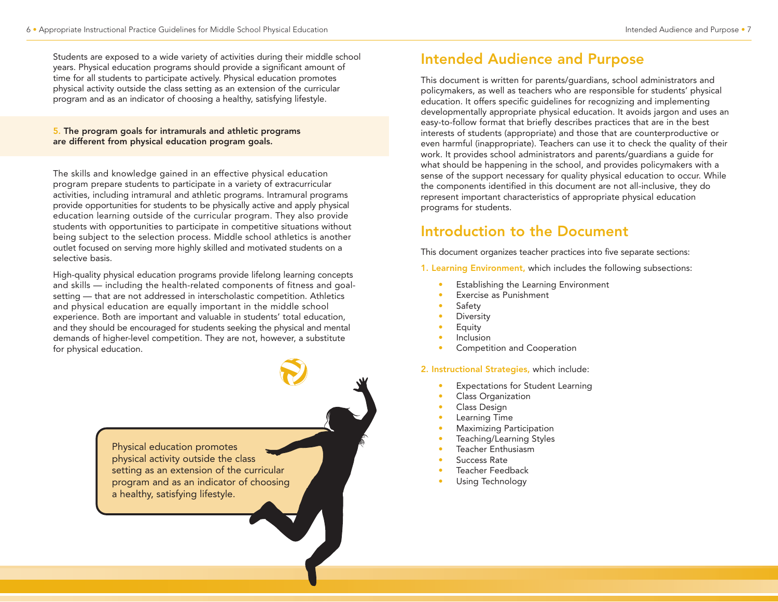Students are exposed to a wide variety of activities during their middle school years. Physical education programs should provide a significant amount of time for all students to participate actively. Physical education promotes physical activity outside the class setting as an extension of the curricular program and as an indicator of choosing a healthy, satisfying lifestyle.

#### 5. The program goals for intramurals and athletic programs are different from physical education program goals.

The skills and knowledge gained in an effective physical education program prepare students to participate in a variety of extracurricular activities, including intramural and athletic programs. Intramural programs provide opportunities for students to be physically active and apply physical education learning outside of the curricular program. They also provide students with opportunities to participate in competitive situations without being subject to the selection process. Middle school athletics is another outlet focused on serving more highly skilled and motivated students on a selective basis.

High-quality physical education programs provide lifelong learning concepts and skills — including the health-related components of fitness and goalsetting — that are not addressed in interscholastic competition. Athletics and physical education are equally important in the middle school experience. Both are important and valuable in students' total education, and they should be encouraged for students seeking the physical and mental demands of higher-level competition. They are not, however, a substitute for physical education.

> Physical education promotes physical activity outside the class setting as an extension of the curricular program and as an indicator of choosing a healthy, satisfying lifestyle.

## Intended Audience and Purpose

This document is written for parents/guardians, school administrators and policymakers, as well as teachers who are responsible for students' physical education. It offers specific guidelines for recognizing and implementing developmentally appropriate physical education. It avoids jargon and uses an easy-to-follow format that briefly describes practices that are in the best interests of students (appropriate) and those that are counterproductive or even harmful (inappropriate). Teachers can use it to check the quality of their work. It provides school administrators and parents/guardians a guide for what should be happening in the school, and provides policymakers with a sense of the support necessary for quality physical education to occur. While the components identified in this document are not all-inclusive, they do represent important characteristics of appropriate physical education programs for students.

## Introduction to the Document

This document organizes teacher practices into five separate sections:

1. Learning Environment, which includes the following subsections:

- Establishing the Learning Environment
- Exercise as Punishment
- Safety
- **Diversity**
- Equity
- **Inclusion**
- Competition and Cooperation

2. Instructional Strategies, which include:

- **Expectations for Student Learning**
- Class Organization
- Class Design
- Learning Time
- Maximizing Participation
- Teaching/Learning Styles
- Teacher Enthusiasm
- Success Rate
- Teacher Feedback
- Using Technology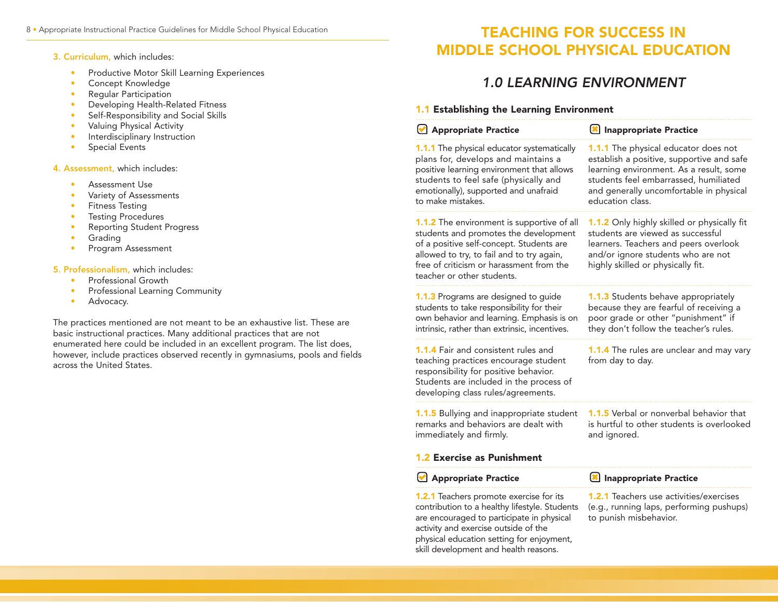#### 3. Curriculum, which includes:

- Productive Motor Skill Learning Experiences
- Concept Knowledge
- Regular Participation
- Developing Health-Related Fitness
- Self-Responsibility and Social Skills
- Valuing Physical Activity
- Interdisciplinary Instruction
- Special Events

4. Assessment, which includes:

- Assessment Use
- Variety of Assessments
- Fitness Testing
- Testing Procedures
- Reporting Student Progress
- Grading
- Program Assessment

#### 5. Professionalism, which includes:

- Professional Growth
- Professional Learning Community
- Advocacy.

The practices mentioned are not meant to be an exhaustive list. These are basic instructional practices. Many additional practices that are not enumerated here could be included in an excellent program. The list does, however, include practices observed recently in gymnasiums, pools and fields across the United States.

## TEACHING FOR SUCCESS IN MIDDLE SCHOOL PHYSICAL EDUCATION

## 1.0 LEARNING ENVIRONMENT

#### 1.1 Establishing the Learning Environment

| Appropriate Practice                                                                                                                                                                                                                                                       | Inappropriate Practice                                                                                                                                                                                                                      |
|----------------------------------------------------------------------------------------------------------------------------------------------------------------------------------------------------------------------------------------------------------------------------|---------------------------------------------------------------------------------------------------------------------------------------------------------------------------------------------------------------------------------------------|
| <b>1.1.1</b> The physical educator systematically<br>plans for, develops and maintains a<br>positive learning environment that allows<br>students to feel safe (physically and<br>emotionally), supported and unafraid<br>to make mistakes.                                | <b>1.1.1</b> The physical educator does not<br>establish a positive, supportive and safe<br>learning environment. As a result, some<br>students feel embarrassed, humiliated<br>and generally uncomfortable in physical<br>education class. |
| <b>1.1.2</b> The environment is supportive of all<br>students and promotes the development<br>of a positive self-concept. Students are<br>allowed to try, to fail and to try again,<br>free of criticism or harassment from the<br>teacher or other students.              | 1.1.2 Only highly skilled or physically fit<br>students are viewed as successful<br>learners. Teachers and peers overlook<br>and/or ignore students who are not<br>highly skilled or physically fit.                                        |
| 1.1.3 Programs are designed to guide<br>students to take responsibility for their<br>own behavior and learning. Emphasis is on<br>intrinsic, rather than extrinsic, incentives.                                                                                            | <b>1.1.3</b> Students behave appropriately<br>because they are fearful of receiving a<br>poor grade or other "punishment" if<br>they don't follow the teacher's rules.                                                                      |
| <b>1.1.4</b> Fair and consistent rules and<br>teaching practices encourage student<br>responsibility for positive behavior.<br>Students are included in the process of<br>developing class rules/agreements.                                                               | 1.1.4 The rules are unclear and may vary<br>from day to day.                                                                                                                                                                                |
| 1.1.5 Bullying and inappropriate student<br>remarks and behaviors are dealt with<br>immediately and firmly.                                                                                                                                                                | <b>1.1.5</b> Verbal or nonverbal behavior that<br>is hurtful to other students is overlooked<br>and ignored.                                                                                                                                |
| <b>1.2 Exercise as Punishment</b>                                                                                                                                                                                                                                          |                                                                                                                                                                                                                                             |
| Appropriate Practice                                                                                                                                                                                                                                                       | Inappropriate Practice                                                                                                                                                                                                                      |
| <b>1.2.1</b> Teachers promote exercise for its<br>contribution to a healthy lifestyle. Students<br>are encouraged to participate in physical<br>activity and exercise outside of the<br>physical education setting for enjoyment,<br>skill development and health reasons. | 1.2.1 Teachers use activities/exercises<br>(e.g., running laps, performing pushups)<br>to punish misbehavior.                                                                                                                               |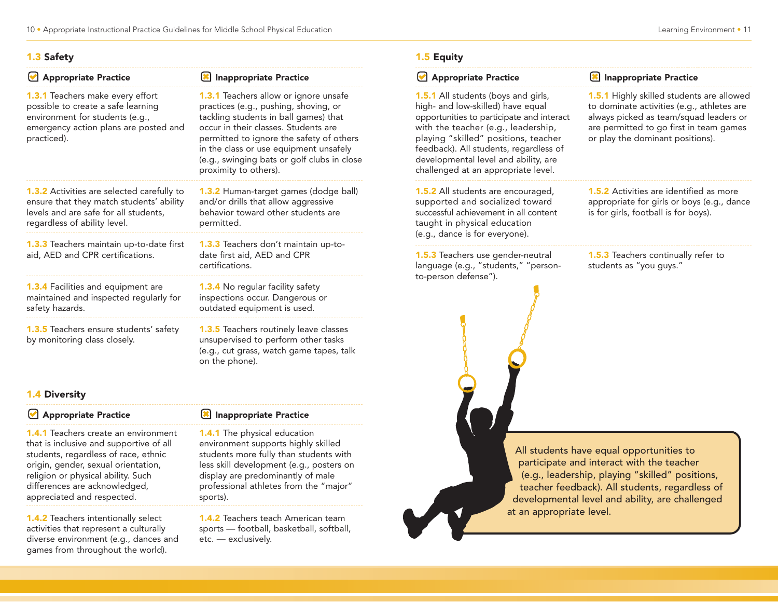#### 1.3 Safety

| <b>Appropriate Practice</b>                                                                                                                                              | <b>Inappropriate Practice</b>                                                                                                                                                                                                                                                                                                 |
|--------------------------------------------------------------------------------------------------------------------------------------------------------------------------|-------------------------------------------------------------------------------------------------------------------------------------------------------------------------------------------------------------------------------------------------------------------------------------------------------------------------------|
| <b>1.3.1</b> Teachers make every effort<br>possible to create a safe learning<br>environment for students (e.g.,<br>emergency action plans are posted and<br>practiced). | 1.3.1 Teachers allow or ignore unsafe<br>practices (e.g., pushing, shoving, or<br>tackling students in ball games) that<br>occur in their classes. Students are<br>permitted to ignore the safety of others<br>in the class or use equipment unsafely<br>(e.g., swinging bats or golf clubs in close<br>proximity to others). |
| <b>1.3.2</b> Activities are selected carefully to<br>ensure that they match students' ability<br>levels and are safe for all students,<br>regardless of ability level.   | 1.3.2 Human-target games (dodge ball)<br>and/or drills that allow aggressive<br>behavior toward other students are<br>permitted.                                                                                                                                                                                              |
| <b>1.3.3</b> Teachers maintain up-to-date first<br>aid, AED and CPR certifications.                                                                                      | <b>1.3.3</b> Teachers don't maintain up-to-<br>date first aid, AED and CPR<br>certifications.                                                                                                                                                                                                                                 |
| <b>1.3.4</b> Facilities and equipment are<br>maintained and inspected regularly for<br>safety hazards.                                                                   | <b>1.3.4</b> No regular facility safety<br>inspections occur. Dangerous or<br>outdated equipment is used.                                                                                                                                                                                                                     |
| <b>1.3.5</b> Teachers ensure students' safety<br>by monitoring class closely.                                                                                            | <b>1.3.5</b> Teachers routinely leave classes<br>unsupervised to perform other tasks<br>(e.g., cut grass, watch game tapes, talk<br>on the phone).                                                                                                                                                                            |

#### 1.4 Diversity

#### **Appropriate Practice**

1.4.1 Teachers create an environment that is inclusive and supportive of all students, regardless of race, ethnic origin, gender, sexual orientation, religion or physical ability. Such differences are acknowledged, appreciated and respected.

1.4.2 Teachers intentionally select activities that represent a culturally diverse environment (e.g., dances and games from throughout the world).

#### **X** Inappropriate Practice

1.4.1 The physical education environment supports highly skilled students more fully than students with less skill development (e.g., posters on display are predominantly of male professional athletes from the "major" sports).

1.4.2 Teachers teach American team sports — football, basketball, softball, etc. — exclusively.

#### 1.5 Equity

## All students have equal opportunities to participate and interact with the teacher (e.g., leadership, playing "skilled" positions, teacher feedback). All students, regardless of developmental level and ability, are challenged at an appropriate level. **Appropriate Practice** 1.5.1 All students (boys and girls, high- and low-skilled) have equal opportunities to participate and interact with the teacher (e.g., leadership, playing "skilled" positions, teacher feedback). All students, regardless of developmental level and ability, are challenged at an appropriate level. 1.5.2 All students are encouraged, supported and socialized toward successful achievement in all content taught in physical education (e.g., dance is for everyone). 1.5.3 Teachers use gender-neutral language (e.g., "students," "personto-person defense"). **X** Inappropriate Practice **1.5.1** Highly skilled students are allowed to dominate activities (e.g., athletes are always picked as team/squad leaders or are permitted to go first in team games or play the dominant positions). **1.5.2** Activities are identified as more appropriate for girls or boys (e.g., dance is for girls, football is for boys). **1.5.3** Teachers continually refer to students as "you guys."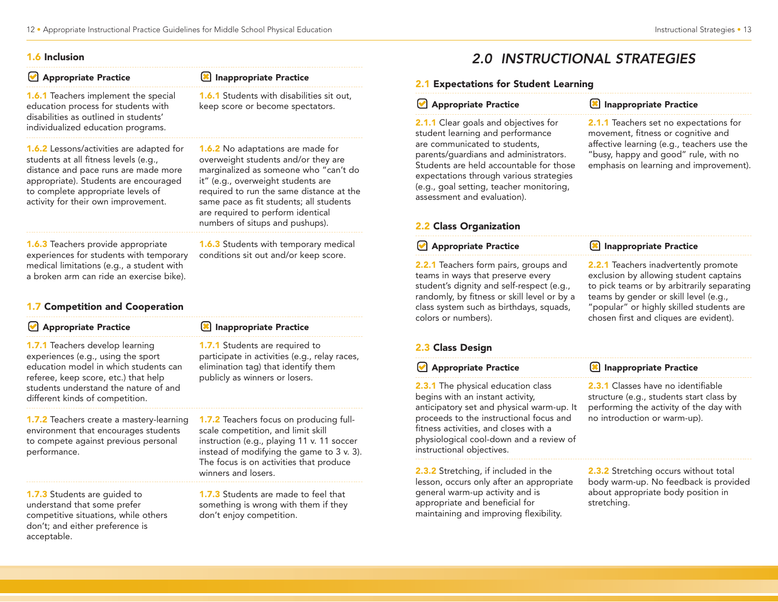#### 1.6 Inclusion

#### **Appropriate Practice**

**8** Inappropriate Practice

1.6.1 Teachers implement the special education process for students with disabilities as outlined in students' individualized education programs.

1.6.2 Lessons/activities are adapted for students at all fitness levels (e.g., distance and pace runs are made more appropriate). Students are encouraged to complete appropriate levels of activity for their own improvement.

#### **1.6.1** Students with disabilities sit out, keep score or become spectators.

1.6.2 No adaptations are made for overweight students and/or they are marginalized as someone who "can't do it" (e.g., overweight students are required to run the same distance at the same pace as fit students; all students are required to perform identical numbers of situps and pushups).

1.6.3 Teachers provide appropriate experiences for students with temporary medical limitations (e.g., a student with a broken arm can ride an exercise bike).

#### **1.6.3** Students with temporary medical conditions sit out and/or keep score.

#### 1.7 Competition and Cooperation

| Appropriate Practice                                                                                                                                                                                                               | Inappropriate Practice                                                                                                                                                                                                                           |
|------------------------------------------------------------------------------------------------------------------------------------------------------------------------------------------------------------------------------------|--------------------------------------------------------------------------------------------------------------------------------------------------------------------------------------------------------------------------------------------------|
| 1.7.1 Teachers develop learning<br>experiences (e.g., using the sport<br>education model in which students can<br>referee, keep score, etc.) that help<br>students understand the nature of and<br>different kinds of competition. | 1.7.1 Students are required to<br>participate in activities (e.g., relay races,<br>elimination tag) that identify them<br>publicly as winners or losers.                                                                                         |
| <b>1.7.2</b> Teachers create a mastery-learning<br>environment that encourages students<br>to compete against previous personal<br>performance.                                                                                    | <b>1.7.2</b> Teachers focus on producing full-<br>scale competition, and limit skill<br>instruction (e.g., playing 11 v. 11 soccer<br>instead of modifying the game to 3 v. 3)<br>The focus is on activities that produce<br>winners and losers. |
| <b>1.7.3</b> Students are guided to                                                                                                                                                                                                | <b>1.7.3</b> Students are made to feel that                                                                                                                                                                                                      |

1.7.3 Students are guided to understand that some prefer competitive situations, while others don't; and either preference is acceptable.

nade to feel that something is wrong with them if they don't enjoy competition.

## 2.0 INSTRUCTIONAL STRATEGIES

#### 2.1 Expectations for Student Learning

#### **Appropriate Practice**

2.1.1 Clear goals and objectives for student learning and performance are communicated to students, parents/guardians and administrators. Students are held accountable for those expectations through various strategies (e.g., goal setting, teacher monitoring, assessment and evaluation).

#### **IM** Inappropriate Practice

2.1.1 Teachers set no expectations for movement, fitness or cognitive and affective learning (e.g., teachers use the "busy, happy and good" rule, with no emphasis on learning and improvement).

#### 2.2 Class Organization

## **Appropriate Practice**

2.2.1 Teachers form pairs, groups and teams in ways that preserve every student's dignity and self-respect (e.g., randomly, by fitness or skill level or by a class system such as birthdays, squads, colors or numbers).

## Inappropriate Practice

2.2.1 Teachers inadvertently promote exclusion by allowing student captains to pick teams or by arbitrarily separating teams by gender or skill level (e.g., "popular" or highly skilled students are chosen first and cliques are evident).

### 2.3 Class Design

| Appropriate Practice                                                                                                                                                                                                                                                                   | Inappropriate Practice                                                                                                                                           |
|----------------------------------------------------------------------------------------------------------------------------------------------------------------------------------------------------------------------------------------------------------------------------------------|------------------------------------------------------------------------------------------------------------------------------------------------------------------|
| <b>2.3.1</b> The physical education class<br>begins with an instant activity,<br>anticipatory set and physical warm-up. It<br>proceeds to the instructional focus and<br>fitness activities, and closes with a<br>physiological cool-down and a review of<br>instructional objectives. | <b>2.3.1</b> Classes have no identifiable<br>structure (e.g., students start class by<br>performing the activity of the day with<br>no introduction or warm-up). |
| 2.3.2 Stretching, if included in the                                                                                                                                                                                                                                                   | 2.3.2 Stretching occurs without total                                                                                                                            |

**2.3.2** Stretching, if included in the lesson, occurs only after an appropriate general warm-up activity and is appropriate and beneficial for maintaining and improving flexibility.

**2.3.2** Stretching occurs without total body warm-up. No feedback is provided about appropriate body position in stretching.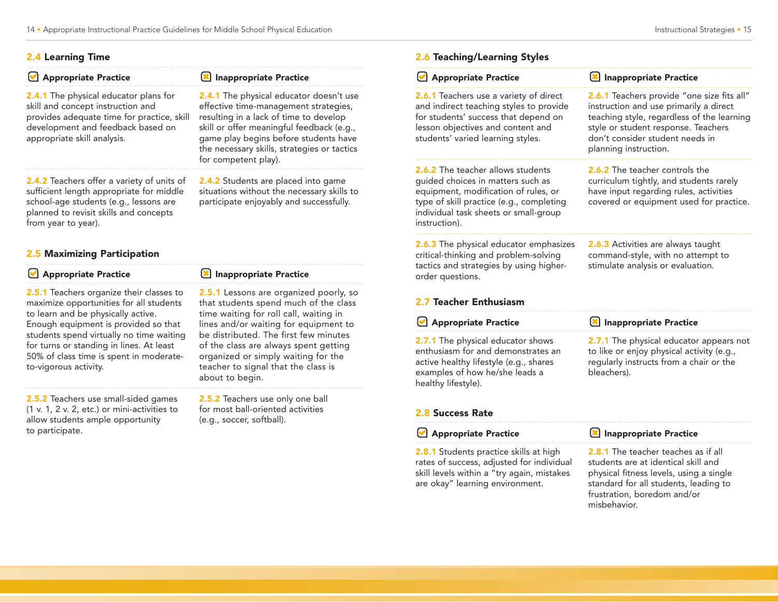#### 2.4 Learning Time

| <b>Appropriate Practice</b>                                                                                                                                                                                                              | Inappropriate Practice                                                                                                                                                                                                                                                                         |
|------------------------------------------------------------------------------------------------------------------------------------------------------------------------------------------------------------------------------------------|------------------------------------------------------------------------------------------------------------------------------------------------------------------------------------------------------------------------------------------------------------------------------------------------|
| <b>2.4.1</b> The physical educator plans for<br>skill and concept instruction and<br>provides adequate time for practice, skill<br>development and feedback based on<br>appropriate skill analysis.                                      | <b>2.4.1</b> The physical educator doesn't use<br>effective time-management strategies,<br>resulting in a lack of time to develop<br>skill or offer meaningful feedback (e.g.,<br>game play begins before students have<br>the necessary skills, strategies or tactics<br>for competent play). |
| <b>2.4.2</b> Teachers offer a variety of units of<br>sufficient length appropriate for middle<br>school-age students (e.g., lessons are<br>planned to revisit skills and concepts<br>from year to year).<br>2.5 Maximizing Participation | <b>2.4.2</b> Students are placed into game<br>situations without the necessary skills to<br>participate enjoyably and successfully.                                                                                                                                                            |
|                                                                                                                                                                                                                                          |                                                                                                                                                                                                                                                                                                |
| <b>Appropriate Practice</b>                                                                                                                                                                                                              | <b>Inappropriate Practice</b>                                                                                                                                                                                                                                                                  |
| <b>2.5.1</b> Teachers organize their classes to<br>maximize opportunities for all students<br>to learn and be physically active.                                                                                                         | <b>2.5.1</b> Lessons are organized poorly, so<br>that students spend much of the class<br>time waiting for roll call, waiting in                                                                                                                                                               |

| Appropriate Practice                                                                                                                                                                                                                                                                                                                 | Inappropriate Practice                                                                                                                                                                                                                                                                                                                                       |
|--------------------------------------------------------------------------------------------------------------------------------------------------------------------------------------------------------------------------------------------------------------------------------------------------------------------------------------|--------------------------------------------------------------------------------------------------------------------------------------------------------------------------------------------------------------------------------------------------------------------------------------------------------------------------------------------------------------|
| <b>2.5.1</b> Teachers organize their classes to<br>maximize opportunities for all students<br>to learn and be physically active.<br>Enough equipment is provided so that<br>students spend virtually no time waiting<br>for turns or standing in lines. At least<br>50% of class time is spent in moderate-<br>to-vigorous activity. | <b>2.5.1</b> Lessons are organized poorly, so<br>that students spend much of the class<br>time waiting for roll call, waiting in<br>lines and/or waiting for equipment to<br>be distributed. The first few minutes<br>of the class are always spent getting<br>organized or simply waiting for the<br>teacher to signal that the class is<br>about to begin. |
| 2.5.2 Teachers use small-sided games                                                                                                                                                                                                                                                                                                 | 2.5.2 Teachers use only one ball                                                                                                                                                                                                                                                                                                                             |

2.5.2 Teachers use small-sided games (1 v. 1, 2 v. 2, etc.) or mini-activities to allow students ample opportunity to participate.

2.5.2 Teachers use only one ball for most ball-oriented activities (e.g., soccer, softball).

#### 2.6 Teaching/Learning Styles

| Appropriate Practice                                                                                                                                                                                                 | Inappropriate Practice                                                                                                                                                                                                                       |
|----------------------------------------------------------------------------------------------------------------------------------------------------------------------------------------------------------------------|----------------------------------------------------------------------------------------------------------------------------------------------------------------------------------------------------------------------------------------------|
| <b>2.6.1</b> Teachers use a variety of direct<br>and indirect teaching styles to provide<br>for students' success that depend on<br>lesson objectives and content and<br>students' varied learning styles.           | <b>2.6.1</b> Teachers provide "one size fits all"<br>instruction and use primarily a direct<br>teaching style, regardless of the learning<br>style or student response. Teachers<br>don't consider student needs in<br>planning instruction. |
| 2.6.2 The teacher allows students<br>guided choices in matters such as<br>equipment, modification of rules, or<br>type of skill practice (e.g., completing<br>individual task sheets or small-group<br>instruction). | <b>2.6.2</b> The teacher controls the<br>curriculum tightly, and students rarely<br>have input regarding rules, activities<br>covered or equipment used for practice.                                                                        |
| <b>2.6.3</b> The physical educator emphasizes<br>critical-thinking and problem-solving<br>tactics and strategies by using higher-<br>order questions.<br>2.7 Teacher Enthusiasm                                      | <b>2.6.3</b> Activities are always taught<br>command-style, with no attempt to<br>stimulate analysis or evaluation.                                                                                                                          |
| Appropriate Practice                                                                                                                                                                                                 | <b>X</b> Inappropriate Practice                                                                                                                                                                                                              |
| 2.7.1 The physical educator shows<br>enthusiasm for and demonstrates an<br>active healthy lifestyle (e.g., shares<br>examples of how he/she leads a<br>healthy lifestyle).                                           | 2.7.1 The physical educator appears not<br>to like or enjoy physical activity (e.g.,<br>regularly instructs from a chair or the<br>bleachers).                                                                                               |
| 2.8 Success Rate                                                                                                                                                                                                     |                                                                                                                                                                                                                                              |

#### Appropriate Practice

2.8.1 Students practice skills at high rates of success, adjusted for individual skill levels within a "try again, mistakes are okay" learning environment.

#### Inappropriate Practice

2.8.1 The teacher teaches as if all students are at identical skill and physical fitness levels, using a single standard for all students, leading to frustration, boredom and/or misbehavior.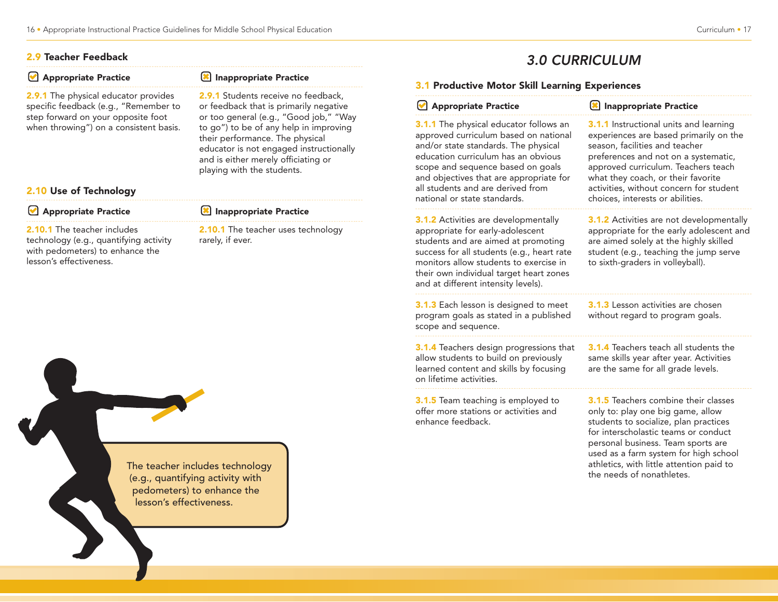#### 2.9 Teacher Feedback

| Appropriate Practice                                                                                                                       | Inappropriate Practice                                                                                                                                                                                                              | 3.1 Productive Motor Skill Learning Experiences                                                                                                                                                                                                                                                  |                                                                                                                          |
|--------------------------------------------------------------------------------------------------------------------------------------------|-------------------------------------------------------------------------------------------------------------------------------------------------------------------------------------------------------------------------------------|--------------------------------------------------------------------------------------------------------------------------------------------------------------------------------------------------------------------------------------------------------------------------------------------------|--------------------------------------------------------------------------------------------------------------------------|
| <b>2.9.1</b> The physical educator provides<br>specific feedback (e.g., "Remember to                                                       | <b>2.9.1</b> Students receive no feedback,<br>or feedback that is primarily negative                                                                                                                                                | Appropriate Practice                                                                                                                                                                                                                                                                             | <b>E</b> Inapprop                                                                                                        |
| step forward on your opposite foot<br>when throwing") on a consistent basis.<br>2.10 Use of Technology                                     | or too general (e.g., "Good job," "Way<br>to go") to be of any help in improving<br>their performance. The physical<br>educator is not engaged instructionally<br>and is either merely officiating or<br>playing with the students. | <b>3.1.1</b> The physical educator follows an<br>approved curriculum based on national<br>and/or state standards. The physical<br>education curriculum has an obvious<br>scope and sequence based on goals<br>and objectives that are appropriate for<br>all students and are derived from       | 3.1.1 Instruct<br>experiences a<br>season, facilit<br>preferences a<br>approved cur<br>what they coa<br>activities, with |
| Appropriate Practice                                                                                                                       | Inappropriate Practice                                                                                                                                                                                                              | national or state standards.                                                                                                                                                                                                                                                                     | choices, inter                                                                                                           |
| <b>2.10.1</b> The teacher includes<br>technology (e.g., quantifying activity<br>with pedometers) to enhance the<br>lesson's effectiveness. | <b>2.10.1</b> The teacher uses technology<br>rarely, if ever.                                                                                                                                                                       | <b>3.1.2</b> Activities are developmentally<br>appropriate for early-adolescent<br>students and are aimed at promoting<br>success for all students (e.g., heart rate<br>monitors allow students to exercise in<br>their own individual target heart zones<br>and at different intensity levels). | 3.1.2 Activitie<br>appropriate fo<br>are aimed sol<br>student (e.g.,<br>to sixth-grade                                   |
|                                                                                                                                            |                                                                                                                                                                                                                                     | 3.1.3 Each lesson is designed to meet                                                                                                                                                                                                                                                            | $3.1.3$ Lesson                                                                                                           |



## 3.0 CURRICULUM

|  | Appropriate Practice |  |
|--|----------------------|--|
|--|----------------------|--|

**X** Inappropriate Practice

3.1.3 Each lesson is designed to meet program goals as stated in a published scope and sequence.

3.1.4 Teachers design progressions that allow students to build on previously learned content and skills by focusing on lifetime activities.

3.1.5 Team teaching is employed to offer more stations or activities and enhance feedback.

**3.1.1** Instructional units and learning experiences are based primarily on the season, facilities and teacher preferences and not on a systematic, approved curriculum. Teachers teach what they coach, or their favorite activities, without concern for student choices, interests or abilities.

3.1.2 Activities are not developmentally appropriate for the early adolescent and are aimed solely at the highly skilled student (e.g., teaching the jump serve to sixth-graders in volleyball).

3.1.3 Lesson activities are chosen without regard to program goals.

3.1.4 Teachers teach all students the same skills year after year. Activities are the same for all grade levels.

3.1.5 Teachers combine their classes only to: play one big game, allow students to socialize, plan practices for interscholastic teams or conduct personal business. Team sports are used as a farm system for high school athletics, with little attention paid to the needs of nonathletes.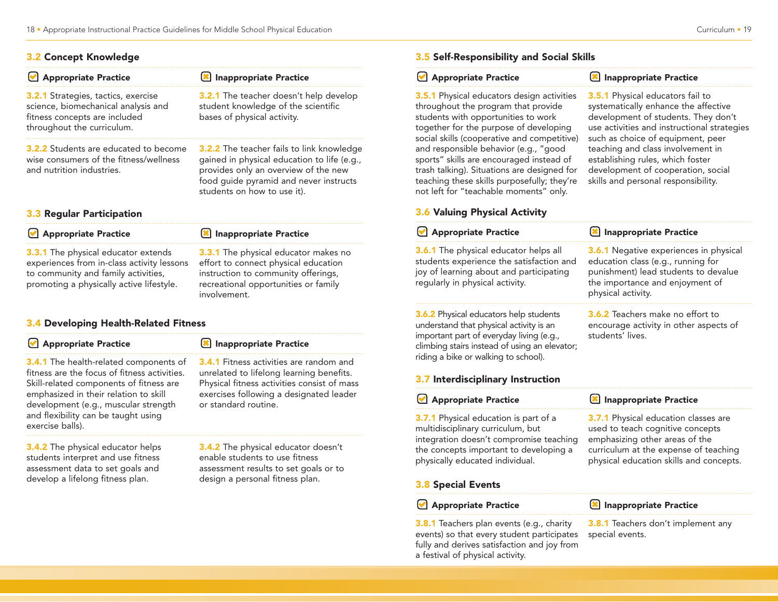#### 3.2 Concept Knowledge

| Appropriate Practice                                                                                                                             | Inappropriate Practice                                                                                                                                                                                    |
|--------------------------------------------------------------------------------------------------------------------------------------------------|-----------------------------------------------------------------------------------------------------------------------------------------------------------------------------------------------------------|
| <b>3.2.1</b> Strategies, tactics, exercise<br>science, biomechanical analysis and<br>fitness concepts are included<br>throughout the curriculum. | 3.2.1 The teacher doesn't help develop<br>student knowledge of the scientific<br>bases of physical activity.                                                                                              |
| <b>3.2.2</b> Students are educated to become<br>wise consumers of the fitness/wellness<br>and nutrition industries.                              | 3.2.2 The teacher fails to link knowledge<br>gained in physical education to life (e.g.,<br>provides only an overview of the new<br>food guide pyramid and never instructs<br>students on how to use it). |

#### 3.3 Regular Participation

#### **Appropriate Practice**

**Appropriate Practice** 

**3.3.1** The physical educator extends experiences from in-class activity lessons to community and family activities, promoting a physically active lifestyle.

#### 3.4 Developing Health-Related Fitness

3.4.1 The health-related components of fitness are the focus of fitness activities. Skill-related components of fitness are emphasized in their relation to skill development (e.g., muscular strength and flexibility can be taught using exercise balls).

3.4.2 The physical educator helps students interpret and use fitness assessment data to set goals and develop a lifelong fitness plan.

unrelated to lifelong learning benefits. Physical fitness activities consist of mass exercises following a designated leader

3.4.1 Fitness activities are random and

Inappropriate Practice

**IM** Inappropriate Practice

or standard routine.

involvement.

**3.3.1** The physical educator makes no effort to connect physical education instruction to community offerings, recreational opportunities or family

**3.4.2** The physical educator doesn't enable students to use fitness assessment results to set goals or to design a personal fitness plan.

#### **Appropriate Practice**

#### **X** Inappropriate Practice

3.5.1 Physical educators design activities throughout the program that provide students with opportunities to work together for the purpose of developing social skills (cooperative and competitive) and responsible behavior (e.g., "good sports" skills are encouraged instead of trash talking). Situations are designed for teaching these skills purposefully; they're not left for "teachable moments" only.

3.5.1 Physical educators fail to systematically enhance the affective development of students. They don't use activities and instructional strategies such as choice of equipment, peer teaching and class involvement in establishing rules, which foster development of cooperation, social skills and personal responsibility.

3.8.1 Teachers don't implement any

special events.

#### 3.6 Valuing Physical Activity

| <b>Appropriate Practice</b>                                                                                                                                                                                                                                        | <b>X</b> Inappropriate Practice                                                                                                                                                                       |
|--------------------------------------------------------------------------------------------------------------------------------------------------------------------------------------------------------------------------------------------------------------------|-------------------------------------------------------------------------------------------------------------------------------------------------------------------------------------------------------|
| <b>3.6.1</b> The physical educator helps all<br>students experience the satisfaction and<br>joy of learning about and participating<br>regularly in physical activity.                                                                                             | <b>3.6.1</b> Negative experiences in physical<br>education class (e.g., running for<br>punishment) lead students to devalue<br>the importance and enjoyment of<br>physical activity.                  |
| <b>3.6.2</b> Physical educators help students<br>understand that physical activity is an<br>important part of everyday living (e.g.,<br>climbing stairs instead of using an elevator;<br>riding a bike or walking to school).<br>3.7 Interdisciplinary Instruction | <b>3.6.2</b> Teachers make no effort to<br>encourage activity in other aspects of<br>students' lives.                                                                                                 |
|                                                                                                                                                                                                                                                                    |                                                                                                                                                                                                       |
| <b>Appropriate Practice</b><br>M                                                                                                                                                                                                                                   | <b>Inappropriate Practice</b>                                                                                                                                                                         |
| 3.7.1 Physical education is part of a<br>multidisciplinary curriculum, but<br>integration doesn't compromise teaching<br>the concepts important to developing a<br>physically educated individual.                                                                 | <b>3.7.1</b> Physical education classes are<br>used to teach cognitive concepts<br>emphasizing other areas of the<br>curriculum at the expense of teaching<br>physical education skills and concepts. |
| <b>3.8 Special Events</b>                                                                                                                                                                                                                                          |                                                                                                                                                                                                       |

3.8.1 Teachers plan events (e.g., charity events) so that every student participates fully and derives satisfaction and joy from a festival of physical activity.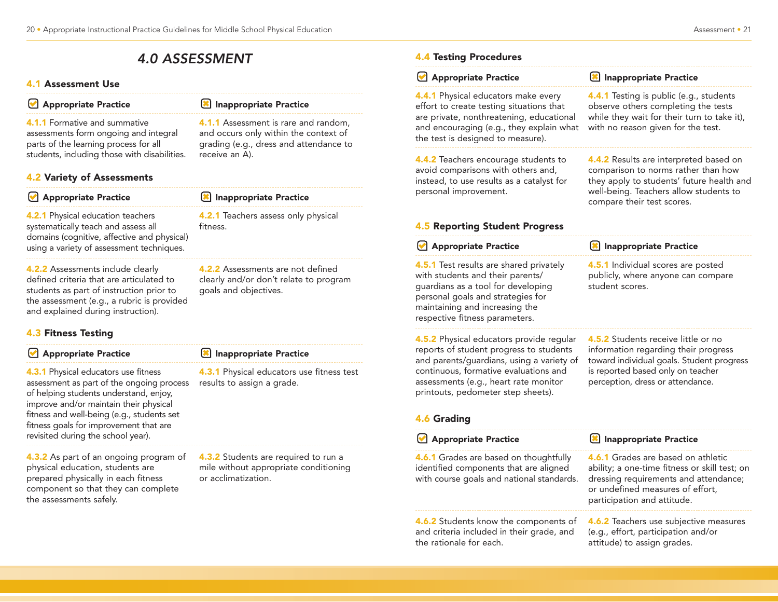## 4.0 ASSESSMENT

#### 4.1 Assessment Use

| Appropriate Practice |  |
|----------------------|--|
|                      |  |

Inappropriate Practice

receive an A).

4.1.1 Assessment is rare and random, and occurs only within the context of grading (e.g., dress and attendance to

4.1.1 Formative and summative assessments form ongoing and integral parts of the learning process for all students, including those with disabilities.

#### 4.2 Variety of Assessments

| Appropriate Practice                                                                                                                                                        | Inappropriate Practice                          |
|-----------------------------------------------------------------------------------------------------------------------------------------------------------------------------|-------------------------------------------------|
| <b>4.2.1</b> Physical education teachers<br>systematically teach and assess all<br>domains (cognitive, affective and physical)<br>using a variety of assessment techniques. | 4.2.1 Teachers assess only physical<br>fitness. |
| <b>4.2.2</b> Assessments include clearly                                                                                                                                    | 4.2.2 Assessments are not defined               |

4.2.2 Assessments include clearly defined criteria that are articulated to students as part of instruction prior to the assessment (e.g., a rubric is provided and explained during instruction).

#### 4.3 Fitness Testing

#### Appropriate Practice

**4.3.1 Physical educators use fitness** assessment as part of the ongoing process of helping students understand, enjoy, improve and/or maintain their physical fitness and well-being (e.g., students set fitness goals for improvement that are revisited during the school year).

4.3.2 As part of an ongoing program of physical education, students are prepared physically in each fitness component so that they can complete the assessments safely.

#### **X** Inappropriate Practice

goals and objectives.

4.3.1 Physical educators use fitness test results to assign a grade.

clearly and/or don't relate to program

4.3.2 Students are required to run a mile without appropriate conditioning or acclimatization.

#### 4.4 Testing Procedures

| 4.4.1 Testing is public (e.g., students                                                                                                                                                            |
|----------------------------------------------------------------------------------------------------------------------------------------------------------------------------------------------------|
| observe others completing the tests<br>while they wait for their turn to take it),<br>with no reason given for the test.                                                                           |
| 4.4.2 Results are interpreted based on<br>comparison to norms rather than how<br>they apply to students' future health and<br>well-being. Teachers allow students to<br>compare their test scores. |
|                                                                                                                                                                                                    |
| <b>8</b> Inappropriate Practice                                                                                                                                                                    |
| 4.5.1 Individual scores are posted<br>publicly, where anyone can compare<br>student scores.                                                                                                        |
| 4.5.2 Students receive little or no<br>information regarding their progress<br>toward individual goals. Student progress<br>is reported based only on teacher<br>perception, dress or attendance.  |
|                                                                                                                                                                                                    |
|                                                                                                                                                                                                    |
| Inappropriate Practice<br><b>4.6.1</b> Grades are based on athletic<br>dressing requirements and attendance;<br>or undefined measures of effort,<br>participation and attitude.                    |
| ability; a one-time fitness or skill test; on<br>4.6.2 Teachers use subjective measures<br>(e.g., effort, participation and/or<br>attitude) to assign grades.                                      |
| and encouraging (e.g., they explain what                                                                                                                                                           |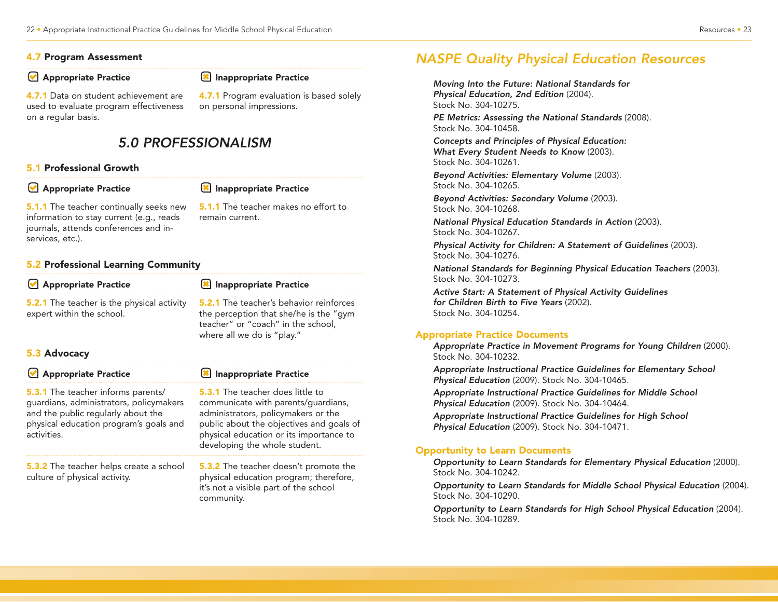#### 4.7 Program Assessment

**Appropriate Practice** 

#### **X** Inappropriate Practice

4.7.1 Data on student achievement are used to evaluate program effectiveness on a regular basis.

on personal impressions.

## 5.0 PROFESSIONALISM

#### 5.1 Professional Growth

| Appropriate Practice                                                                                                                                    | Inappropriate Practice                                  |
|---------------------------------------------------------------------------------------------------------------------------------------------------------|---------------------------------------------------------|
| <b>5.1.1</b> The teacher continually seeks new<br>information to stay current (e.g., reads<br>journals, attends conferences and in-<br>services, etc.). | 5.1.1 The teacher makes no effort to<br>remain current. |

#### 5.2 Professional Learning Community

| Appropriate Practice                                                           | Inappropriate Practice                                                                                                                                       |
|--------------------------------------------------------------------------------|--------------------------------------------------------------------------------------------------------------------------------------------------------------|
| <b>5.2.1</b> The teacher is the physical activity<br>expert within the school. | <b>5.2.1</b> The teacher's behavior reinforces<br>the perception that she/he is the "gym<br>teacher" or "coach" in the school,<br>where all we do is "play." |
| 5.3 Advocacy                                                                   |                                                                                                                                                              |
| Appropriate Practice                                                           | <b>(*)</b> Inappropriate Practice                                                                                                                            |

community.

5.3.1 The teacher informs parents/ guardians, administrators, policymakers and the public regularly about the physical education program's goals and activities. 5.3.2 The teacher helps create a school culture of physical activity. 5.3.1 The teacher does little to communicate with parents/guardians, administrators, policymakers or the public about the objectives and goals of physical education or its importance to developing the whole student. **5.3.2** The teacher doesn't promote the physical education program; therefore, it's not a visible part of the school

# 4.7.1 Program evaluation is based solely

## NASPE Quality Physical Education Resources

Moving Into the Future: National Standards for Physical Education, 2nd Edition (2004). Stock No. 304-10275.

PE Metrics: Assessing the National Standards (2008). Stock No. 304-10458.

Concepts and Principles of Physical Education: What Every Student Needs to Know (2003). Stock No. 304-10261.

Beyond Activities: Elementary Volume (2003). Stock No. 304-10265.

Beyond Activities: Secondary Volume (2003). Stock No. 304-10268.

National Physical Education Standards in Action (2003). Stock No. 304-10267.

Physical Activity for Children: A Statement of Guidelines (2003). Stock No. 304-10276.

National Standards for Beginning Physical Education Teachers (2003). Stock No. 304-10273.

Active Start: A Statement of Physical Activity Guidelines for Children Birth to Five Years (2002). Stock No. 304-10254.

#### Appropriate Practice Documents

Appropriate Practice in Movement Programs for Young Children (2000). Stock No. 304-10232.

Appropriate Instructional Practice Guidelines for Elementary School Physical Education (2009). Stock No. 304-10465.

Appropriate Instructional Practice Guidelines for Middle School Physical Education (2009). Stock No. 304-10464.

Appropriate Instructional Practice Guidelines for High School Physical Education (2009). Stock No. 304-10471.

#### Opportunity to Learn Documents

Opportunity to Learn Standards for Elementary Physical Education (2000). Stock No. 304-10242.

Opportunity to Learn Standards for Middle School Physical Education (2004). Stock No. 304-10290.

Opportunity to Learn Standards for High School Physical Education (2004). Stock No. 304-10289.